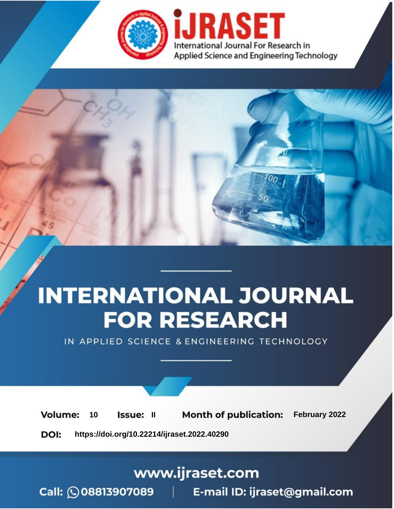

# **INTERNATIONAL JOURNAL FOR RESEARCH**

IN APPLIED SCIENCE & ENGINEERING TECHNOLOGY

**Month of publication:** February 2022 **Volume:** 10 **Issue: II** DOI: https://doi.org/10.22214/ijraset.2022.40290

www.ijraset.com

 $Call: \bigcirc$ 08813907089 E-mail ID: ijraset@gmail.com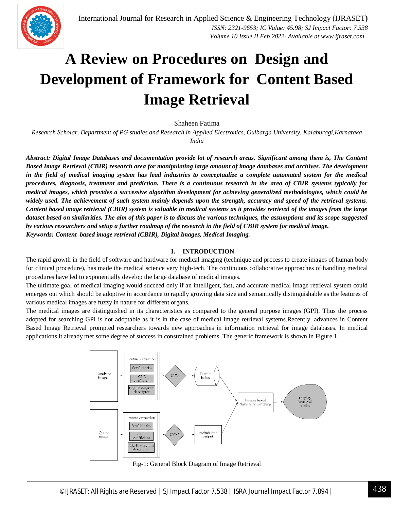

### **A Review on Procedures on Design and Development of Framework for Content Based Image Retrieval**

Shaheen Fatima

*Research Scholar, Department of PG studies and Research in Applied Electronics, Gulbarga University, Kalaburagi,Karnataka India*

*Abstract: Digital Image Databases and documentation provide lot of research areas. Significant among them is, The Content Based Image Retrieval (CBIR) research area for manipulating large amount of image databases and archives. The development in the field of medical imaging system has lead industries to conceptualize a complete automated system for the medical procedures, diagnosis, treatment and prediction. There is a continuous research in the area of CBIR systems typically for medical images, which provides a successive algorithm development for achieving generalized methodologies, which could be widely used. The achievement of such system mainly depends upon the strength, accuracy and speed of the retrieval systems. Content based image retrieval (CBIR) system is valuable in medical systems as it provides retrieval of the images from the large dataset based on similarities. The aim of this paper is to discuss the various techniques, the assumptions and its scope suggested by various researchers and setup a further roadmap of the research in the field of CBIR system for medical image. Keywords: Content–based image retrieval (CBIR), Digital Images, Medical Imaging.*

#### **I. INTRODUCTION**

The rapid growth in the field of software and hardware for medical imaging (technique and process to create images of human body for clinical procedure), has made the medical science very high-tech. The continuous collaborative approaches of handling medical procedures have led to exponentially develop the large database of medical images.

The ultimate goal of medical imaging would succeed only if an intelligent, fast, and accurate medical image retrieval system could emerges out which should be adoptive in accordance to rapidly growing data size and semantically distinguishable as the features of various medical images are fuzzy in nature for different organs.

The medical images are distinguished in its characteristics as compared to the general purpose images (GPI). Thus the process adopted for searching GPI is not adoptable as it is in the case of medical image retrieval systems.Recently, advances in Content Based Image Retrieval prompted researchers towards new approaches in information retrieval for image databases. In medical applications it already met some degree of success in constrained problems. The generic framework is shown in Figure 1.



Fig-1: General Block Diagram of Image Retrieval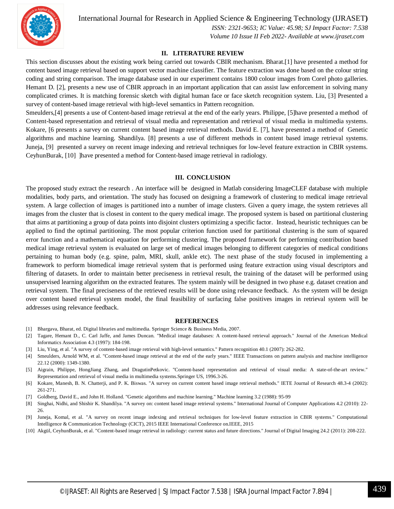

International Journal for Research in Applied Science & Engineering Technology (IJRASET**)**

 *ISSN: 2321-9653; IC Value: 45.98; SJ Impact Factor: 7.538 Volume 10 Issue II Feb 2022- Available at www.ijraset.com*

#### **II. LITERATURE REVIEW**

This section discusses about the existing work being carried out towards CBIR mechanism. Bharat.[1] have presented a method for content based image retrieval based on support vector machine classifier. The feature extraction was done based on the colour string coding and string comparison. The image database used in our experiment contains 1800 colour images from Corel photo galleries. Hemant D. [2], presents a new use of CBIR approach in an important application that can assist law enforcement in solving many complicated crimes. It is matching forensic sketch with digital human face or face sketch recognition system. Liu, [3] Presented a survey of content-based image retrieval with high-level semantics in Pattern recognition.

Smeulders,[4] presents a use of Content-based image retrieval at the end of the early years. Philippe, [5]have presented a method of Content-based representation and retrieval of visual media and representation and retrieval of visual media in multimedia systems. Kokare, [6 presents a survey on current content based image retrieval methods. David E. [7], have presented a method of Genetic algorithms and machine learning. Shandilya. [8] presents a use of different methods in content based image retrieval systems. Juneja, [9] presented a survey on recent image indexing and retrieval techniques for low-level feature extraction in CBIR systems. CeyhunBurak, [10] ]have presented a method for Content-based image retrieval in radiology.

#### **III. CONCLUSION**

The proposed study extract the research . An interface will be designed in Matlab considering ImageCLEF database with multiple modalities, body parts, and orientation. The study has focused on designing a framework of clustering to medical image retrieval system. A large collection of images is partitioned into a number of image clusters. Given a query image, the system retrieves all images from the cluster that is closest in content to the query medical image. The proposed system is based on partitional clustering that aims at partitioning a group of data points into disjoint clusters optimizing a specific factor. Instead, heuristic techniques can be applied to find the optimal partitioning. The most popular criterion function used for partitional clustering is the sum of squared error function and a mathematical equation for performing clustering. The proposed framework for performing contribution based medical image retrieval system is evaluated on large set of medical images belonging to different categories of medical conditions pertaining to human body (e.g. spine, palm, MRI, skull, ankle etc). The next phase of the study focused in implementing a framework to perform biomedical image retrieval system that is performed using feature extraction using visual descriptors and filtering of datasets. In order to maintain better preciseness in retrieval result, the training of the dataset will be performed using unsupervised learning algorithm on the extracted features. The system mainly will be designed in two phase e.g. dataset creation and retrieval system. The final preciseness of the retrieved results will be done using relevance feedback. As the system will be design over content based retrieval system model, the final feasibility of surfacing false positives images in retrieval system will be addresses using relevance feedback.

#### **REFERENCES**

- [1] Bhargava, Bharat, ed. Digital libraries and multimedia. Springer Science & Business Media, 2007.
- [2] Tagare, Hemant D., C. Carl Jaffe, and James Duncan. "Medical image databases: A content-based retrieval approach." Journal of the American Medical Informatics Association 4.3 (1997): 184-198.
- [3] Liu, Ying, et al. "A survey of content-based image retrieval with high-level semantics." Pattern recognition 40.1 (2007): 262-282.
- [4] Smeulders, Arnold WM, et al. "Content-based image retrieval at the end of the early years." IEEE Transactions on pattern analysis and machine intelligence 22.12 (2000): 1349-1380.
- [5] Aigrain, Philippe, HongJiang Zhang, and DragutinPetkovic. "Content-based representation and retrieval of visual media: A state-of-the-art review." Representation and retrieval of visual media in multimedia systems.Springer US, 1996.3-26.
- [6] Kokare, Manesh, B. N. Chatterji, and P. K. Biswas. "A survey on current content based image retrieval methods." IETE Journal of Research 48.3-4 (2002): 261-271.
- [7] Goldberg, David E., and John H. Holland. "Genetic algorithms and machine learning." Machine learning 3.2 (1988): 95-99
- [8] Singhai, Nidhi, and Shishir K. Shandilya. "A survey on: content based image retrieval systems." International Journal of Computer Applications 4.2 (2010): 22- 26.
- [9] Juneja, Komal, et al. "A survey on recent image indexing and retrieval techniques for low-level feature extraction in CBIR systems." Computational Intelligence & Communication Technology (CICT), 2015 IEEE International Conference on.IEEE, 2015
- [10] Akgül, CeyhunBurak, et al. "Content-based image retrieval in radiology: current status and future directions." Journal of Digital Imaging 24.2 (2011): 208-222.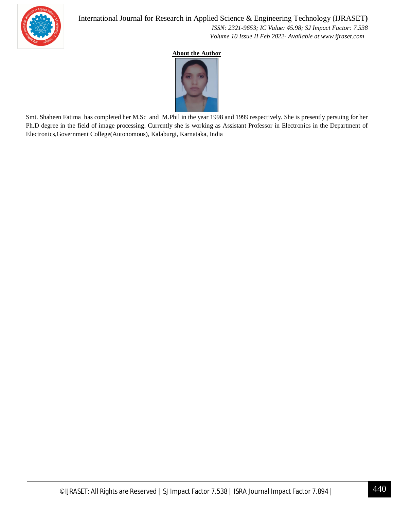

 *ISSN: 2321-9653; IC Value: 45.98; SJ Impact Factor: 7.538 Volume 10 Issue II Feb 2022- Available at www.ijraset.com*

#### **About the Author**



Smt. Shaheen Fatima has completed her M.Sc and M.Phil in the year 1998 and 1999 respectively. She is presently persuing for her Ph.D degree in the field of image processing. Currently she is working as Assistant Professor in Electronics in the Department of Electronics,Government College(Autonomous), Kalaburgi, Karnataka, India